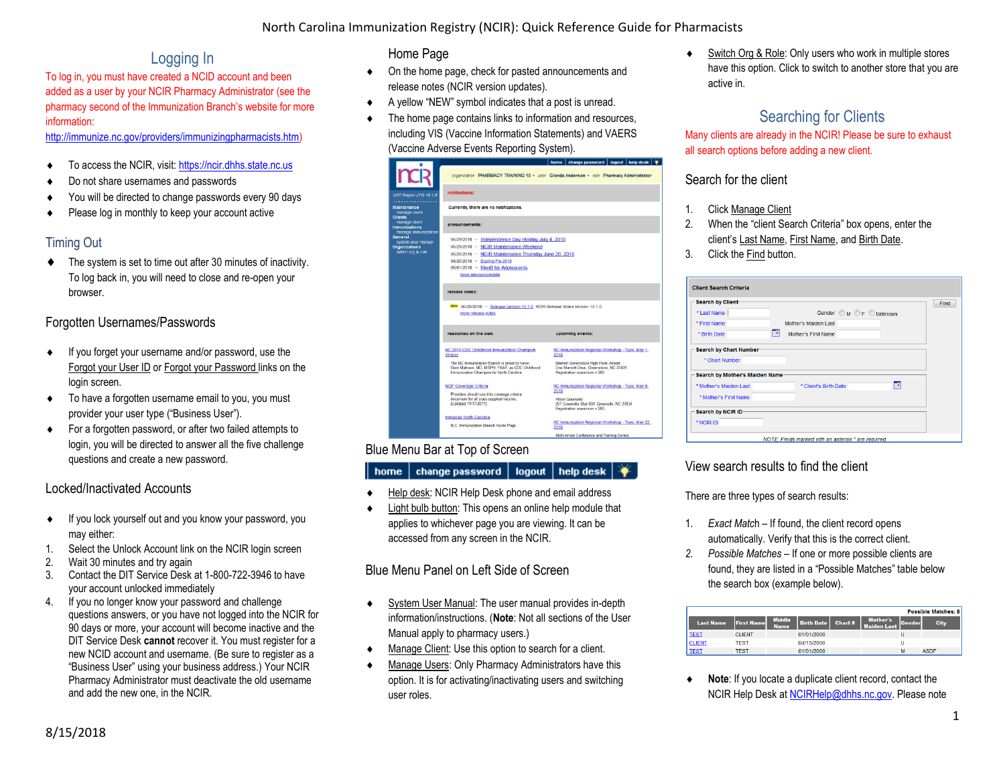# Logging In

To log in, you must have created a NCID account and been added as a user by your NCIR Pharmacy Administrator (see the pharmacy second of the Immunization Branch's website for more information:

[http://immunize.nc.gov/providers/immunizingpharmacists.htm\)](http://immunize.nc.gov/providers/immunizingpharmacists.htm)

- ◆ To access the NCIR, visit: [https://ncir.dhhs.state.nc.us](https://ncir.dhhs.state.nc.us/)
- ◆ Do not share usernames and passwords
- ◆ You will be directed to change passwords every 90 days
- ◆ Please log in monthly to keep your account active

# Timing Out

 $\bullet$  The system is set to time out after 30 minutes of inactivity. To log back in, you will need to close and re-open your browser.

## Forgotten Usernames/Passwords

- If you forget your username and/or password, use the Forgot your User ID or Forgot your Password links on the login screen.
- $\bullet$  To have a forgotten username email to you, you must provider your user type ("Business User").
- For a forgotten password, or after two failed attempts to login, you will be directed to answer all the five challenge questions and create a new password.

# Locked/Inactivated Accounts

- If you lock yourself out and you know your password, you may either:
- 1. Select the Unlock Account link on the NCIR login screen
- 2. Wait 30 minutes and try again
- 3. Contact the DIT Service Desk at 1-800-722-3946 to have your account unlocked immediately
- 4. If you no longer know your password and challenge questions answers, or you have not logged into the NCIR for 90 days or more, your account will become inactive and the DIT Service Desk **cannot** recover it. You must register for a new NCID account and username. (Be sure to register as a "Business User" using your business address.) Your NCIR Pharmacy Administrator must deactivate the old username and add the new one, in the NCIR.

## Home Page

- On the home page, check for pasted announcements and release notes (NCIR version updates).
- A yellow "NEW" symbol indicates that a post is unread.
- $\bullet$  The home page contains links to information and resources, including VIS (Vaccine Information Statements) and VAERS (Vaccine Adverse Events Reporting System).



## Blue Menu Bar at Top of Screen

#### $\mid$  change password  $\mid$  logout  $\mid$  help desk  $\mid \blacklozenge$ home |

- Help desk: NCIR Help Desk phone and email address
- Light bulb button: This opens an online help module that applies to whichever page you are viewing. It can be accessed from any screen in the NCIR.

# Blue Menu Panel on Left Side of Screen

- ◆ System User Manual: The user manual provides in-depth information/instructions. (**Note**: Not all sections of the User Manual apply to pharmacy users.)
- Manage Client: Use this option to search for a client.
- Manage Users: Only Pharmacy Administrators have this option. It is for activating/inactivating users and switching user roles.

◆ Switch Org & Role: Only users who work in multiple stores have this option. Click to switch to another store that you are active in.

# Searching for Clients

Many clients are already in the NCIR! Please be sure to exhaust all search options before adding a new client.

## Search for the client

- 1. Click Manage Client
- 2. When the "client Search Criteria" box opens, enter the client's Last Name, First Name, and Birth Date.
- 3. Click the Find button.

| <b>Search by Client-</b>       |                            | Find |
|--------------------------------|----------------------------|------|
| * Last Name                    | Gender M OF OUnknown       |      |
| * First Name                   | Mother's Maiden Last       |      |
| * Birth Date                   | ℡<br>Mother's First Name   |      |
| Search by Mother's Maiden Name |                            |      |
|                                |                            |      |
| * Mother's Maiden Last         | □<br>* Client's Birth Date |      |
| * Mother's First Name          |                            |      |
|                                |                            |      |
| Search by NCIR ID-             |                            |      |

# View search results to find the client

There are three types of search results:

- 1. *Exact Matc*h If found, the client record opens automatically. Verify that this is the correct client.
- *2. Possible Matches* If one or more possible clients are found, they are listed in a "Possible Matches" table below the search box (example below).

|                  |                   |                              |                   |         |                                |        | <b>Possible Matches: 8</b> |
|------------------|-------------------|------------------------------|-------------------|---------|--------------------------------|--------|----------------------------|
| <b>Last Name</b> | <b>First Name</b> | <b>Middle</b><br><b>Name</b> | <b>Birth Date</b> | Chart # | Mother's<br><b>Maiden Last</b> | Gender | <b>City</b>                |
| <b>TEST</b>      | <b>CLIENT</b>     |                              | 01/01/2000        |         |                                | υ      |                            |
| <b>CLIENT</b>    | TEST              |                              | 04/15/2000        |         |                                | U      |                            |
| <b>TEST</b>      | <b>TEST</b>       |                              | 01/01/2000        |         |                                | м      | <b>ASDF</b>                |

 **Note**: If you locate a duplicate client record, contact the NCIR Help Desk a[t NCIRHelp@dhhs.nc.gov.](mailto:NCIRHelp@dhhs.nc.gov) Please note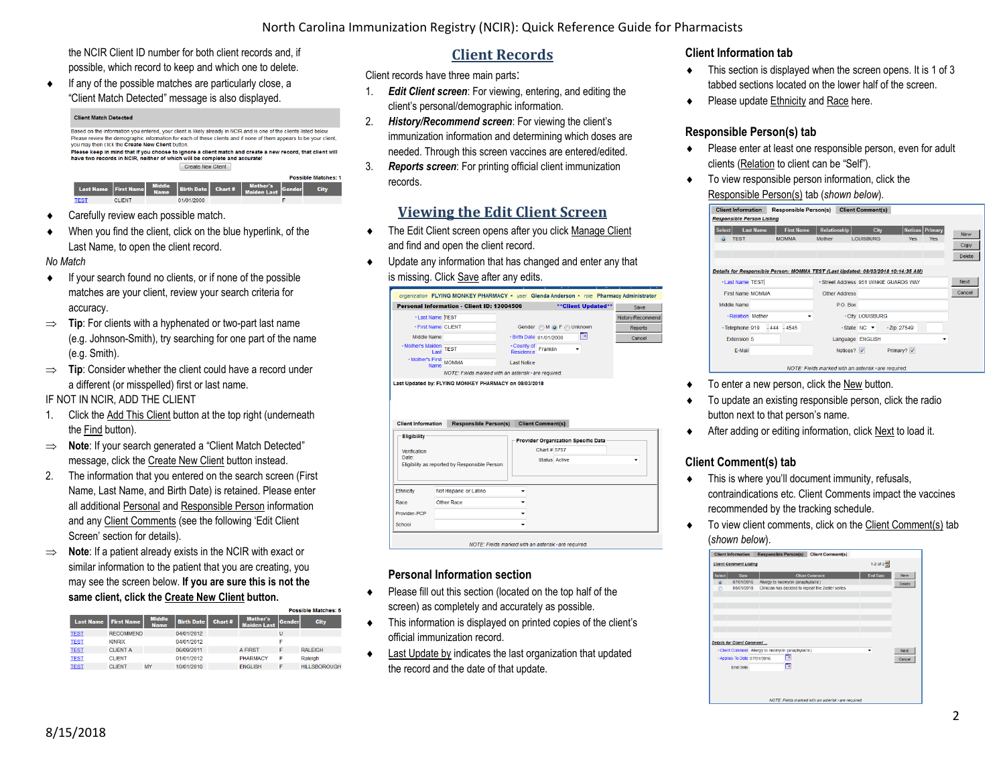the NCIR Client ID number for both client records and, if possible, which record to keep and which one to delete.

 $\bullet$  If any of the possible matches are particularly close, a "Client Match Detected" message is also displayed.

#### **Client Match Detected**

Based on the information you entered, your client is likely already in NCIR and is one of the clients listed below Please review the demographic information for each of these clients and if none of them appears to be your client you may then click the Create New Client button Please keep in mind that if you choose to ignore a client match and create a new record, that client will have two records in NCIR, neither of which will be complete and accurate! Create New Client **Possible Matches: 1** City CLIEN

- ◆ Carefully review each possible match.
- When you find the client, click on the blue hyperlink, of the Last Name, to open the client record.

*No Match*

- $\bullet$  If your search found no clients, or if none of the possible matches are your client, review your search criteria for accuracy.
- $\implies$  **Tip**: For clients with a hyphenated or two-part last name (e.g. Johnson-Smith), try searching for one part of the name (e.g. Smith).
- $\Rightarrow$  **Tip**: Consider whether the client could have a record under a different (or misspelled) first or last name.

IF NOT IN NCIR, ADD THE CLIENT

- 1. Click the Add This Client button at the top right (underneath the Find button).
- $\implies$  **Note**: If your search generated a "Client Match Detected" message, click the Create New Client button instead.
- 2. The information that you entered on the search screen (First Name, Last Name, and Birth Date) is retained. Please enter all additional Personal and Responsible Person information and any Client Comments (see the following 'Edit Client Screen' section for details).
- ⇒ **Note**: If a patient already exists in the NCIR with exact or similar information to the patient that you are creating, you may see the screen below. **If you are sure this is not the same client, click the Create New Client button.**

|                  |                   |                              |                   |         |                                       |        | Possible Matches: 5 |
|------------------|-------------------|------------------------------|-------------------|---------|---------------------------------------|--------|---------------------|
| <b>Last Name</b> | <b>First Name</b> | <b>Middle</b><br><b>Name</b> | <b>Birth Date</b> | Chart # | <b>Mother's</b><br><b>Maiden Last</b> | Gender | <b>City</b>         |
| <b>TEST</b>      | <b>RECOMMEND</b>  |                              | 04/01/2012        |         |                                       | U      |                     |
| <b>TEST</b>      | <b>KINRIX</b>     |                              | 04/01/2012        |         |                                       | E      |                     |
| <b>TEST</b>      | <b>CLIENT A</b>   |                              | 06/09/2011        |         | <b>A FIRST</b>                        | F      | <b>RAI FIGH</b>     |
| <b>TEST</b>      | <b>CLIENT</b>     |                              | 01/01/2012        |         | <b>PHARMACY</b>                       | F      | Raleigh             |
| <b>TEST</b>      | <b>CLIENT</b>     | MY                           | 10/01/2010        |         | <b>ENGLISH</b>                        |        | <b>HILLSBOROUGH</b> |

# **Client Records**

Client records have three main parts:

- 1. *Edit Client screen*: For viewing, entering, and editing the client's personal/demographic information.
- 2. *History/Recommend screen*: For viewing the client's immunization information and determining which doses are needed. Through this screen vaccines are entered/edited.
- 3. *Reports screen*: For printing official client immunization records.

# **Viewing the Edit Client Screen**

- $\bullet$  The Edit Client screen opens after you click Manage Client and find and open the client record.
- Update any information that has changed and enter any that is missing. Click Save after any edits.

|                              | organization FLYING MONKEY PHARMACY . user Glenda Anderson . role Pharmacy Administrator |                                 |                         |                     |                  |
|------------------------------|------------------------------------------------------------------------------------------|---------------------------------|-------------------------|---------------------|------------------|
|                              | <b>Personal Information - Client ID: 13004506</b>                                        |                                 |                         | ** Client Updated** | Save             |
| - Last Name <b>ITEST</b>     |                                                                                          |                                 |                         |                     | History/Recommen |
| - First Name CLIENT          |                                                                                          |                                 | Gender M O F Unknown    |                     | Reports          |
| Middle Name                  |                                                                                          |                                 | - Birth Date 01/01/2000 | ℡                   | Cancel           |
| Mother's Maiden<br>Last TEST |                                                                                          | - County of<br><b>Residence</b> | Franklin                |                     |                  |
| Mother's First<br>MOMMA      |                                                                                          | <b>Last Notice</b>              |                         |                     |                  |
|                              | NOTE: Fields marked with an asterisk * are required.                                     |                                 |                         |                     |                  |
|                              | Last Updated by: FLYING MONKEY PHARMACY on 08/03/2018                                    |                                 |                         |                     |                  |
|                              |                                                                                          |                                 |                         |                     |                  |
|                              |                                                                                          |                                 |                         |                     |                  |



## **Personal Information section**

- Please fill out this section (located on the top half of the screen) as completely and accurately as possible.
- This information is displayed on printed copies of the client's official immunization record.
- Last Update by indicates the last organization that updated the record and the date of that update.

#### **Client Information tab**

- $\bullet$  This section is displayed when the screen opens. It is 1 of 3 tabbed sections located on the lower half of the screen.
- ◆ Please update Ethnicity and Race here.

## **Responsible Person(s) tab**

- Please enter at least one responsible person, even for adult clients (Relation to client can be "Self").
- $\bullet$  To view responsible person information, click the Responsible Person(s) tab (*shown below*).

| <b>Client Information</b>                                                         |                  | <b>Responsible Person(s)</b> |                   |                                                      |          | <b>Client Comment(s)</b> |      |                   |                        |   |        |
|-----------------------------------------------------------------------------------|------------------|------------------------------|-------------------|------------------------------------------------------|----------|--------------------------|------|-------------------|------------------------|---|--------|
| <b>Responsible Person Listing</b>                                                 |                  |                              |                   |                                                      |          |                          |      |                   |                        |   |        |
| <b>Select</b>                                                                     | <b>Last Name</b> |                              | <b>First Name</b> | <b>Relationship</b>                                  |          |                          | City |                   | <b>Notices</b> Primary |   | New    |
| <b>TEST</b><br>$\odot$                                                            |                  | <b>MOMMA</b>                 |                   | <b>Mother</b>                                        |          | <b>LOUISBURG</b>         |      | <b>Yes</b>        | Yes                    |   |        |
|                                                                                   |                  |                              |                   |                                                      |          |                          |      |                   |                        |   | Copy   |
|                                                                                   |                  |                              |                   |                                                      |          |                          |      |                   |                        |   | Delete |
| Details for Responsible Person: MOMMA TEST (Last Updated: 08/03/2018 10:14:35 AM) |                  |                              |                   |                                                      |          |                          |      |                   |                        |   |        |
| <b>. Last Name TEST</b>                                                           |                  |                              |                   | - Street Address 951 WINKIF GUARDS WAY               |          |                          |      |                   |                        |   | Next   |
| <b>First Name MOMMA</b>                                                           |                  |                              |                   | <b>Other Address</b>                                 |          |                          |      |                   |                        |   | Cancel |
| Middle Name                                                                       |                  |                              |                   |                                                      | P.O. Box |                          |      |                   |                        |   |        |
| - Relation Mother                                                                 |                  |                              |                   |                                                      |          | <b>- City LOUISBURG</b>  |      |                   |                        |   |        |
| - Telephone 919                                                                   |                  | $-444 - 4545$                |                   |                                                      |          | $\cdot$ State NC $\cdot$ |      | $\cdot$ Zip 27549 |                        |   |        |
| Extension 5                                                                       |                  |                              |                   |                                                      |          | Language ENGLISH         |      |                   |                        | ÷ |        |
| F-Mail                                                                            |                  |                              |                   |                                                      | Notices? |                          |      | Primary?          |                        |   |        |
|                                                                                   |                  |                              |                   | NOTE: Fields marked with an asterisk · are required. |          |                          |      |                   |                        |   |        |

- To enter a new person, click the New button.
- To update an existing responsible person, click the radio button next to that person's name.
- After adding or editing information, click Next to load it.

## **Client Comment(s) tab**

- $\bullet$  This is where you'll document immunity, refusals, contraindications etc. Client Comments impact the vaccines recommended by the tracking schedule.
- ◆ To view client comments, click on the Client Comment(s) tab (*shown below*).

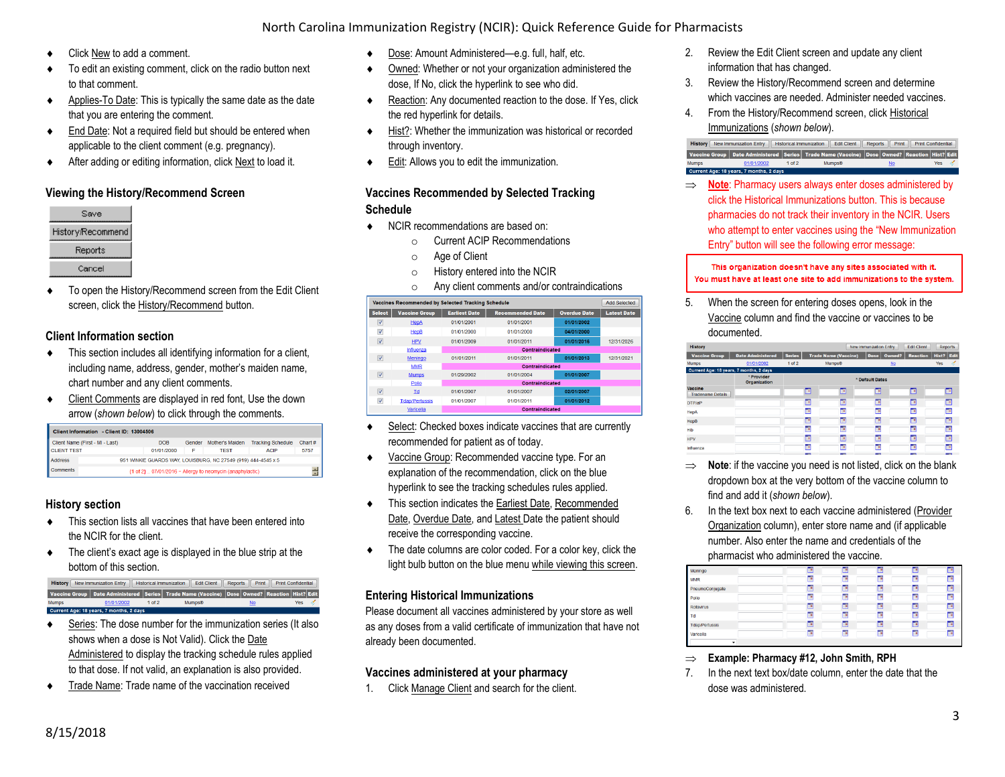## North Carolina Immunization Registry (NCIR): Quick Reference Guide for Pharmacists

- ◆ Click New to add a comment.
- $\bullet$  To edit an existing comment, click on the radio button next to that comment.
- ◆ Applies-To Date: This is typically the same date as the date that you are entering the comment.
- ◆ End Date: Not a required field but should be entered when applicable to the client comment (e.g. pregnancy).
- After adding or editing information, click Next to load it.

## **Viewing the History/Recommend Screen**



 To open the History/Recommend screen from the Edit Client screen, click the History/Recommend button.

#### **Client Information section**

- This section includes all identifying information for a client, including name, address, gender, mother's maiden name, chart number and any client comments.
- Client Comments are displayed in red font, Use the down arrow (*shown below*) to click through the comments.

|                    | Client Information - Client ID: 13004506 |            |        |                                                               |                          |         |
|--------------------|------------------------------------------|------------|--------|---------------------------------------------------------------|--------------------------|---------|
|                    | Client Name (First - MI - Last)          | DOB        | Gender | Mother's Maiden                                               | <b>Tracking Schedule</b> | Chart # |
| <b>CLIENT TEST</b> |                                          | 01/01/2000 | F      | <b>TEST</b>                                                   | <b>ACIP</b>              | 5757    |
| <b>Address</b>     |                                          |            |        | 951 WINKIE GUARDS WAY, LOUISBURG, NC 27549 (919) 444-4545 x 5 |                          |         |
| <b>Comments</b>    |                                          |            |        | $\{1$ of 2}  07/01/2016 ~ Allergy to neomycin (anaphylactic)  |                          |         |

## **History section**

- This section lists all vaccines that have been entered into the NCIR for the client.
- The client's exact age is displayed in the blue strip at the bottom of this section.

#### History New Immunization Entry | Historical Immunization | Edit Client | Reports | Print | Print Confidential Vaccine Group Date Administered Series Trade Name (Vaccine) Dose Owned? Reaction Hist? Edit 01/01/2002 1 of 2 Current Age: 18 years 7 months 2 days

- Series: The dose number for the immunization series (It also shows when a dose is Not Valid). Click the Date Administered to display the tracking schedule rules applied to that dose. If not valid, an explanation is also provided.
- Trade Name: Trade name of the vaccination received
- ◆ Dose: Amount Administered—e.g. full, half, etc.
- Owned: Whether or not your organization administered the dose, If No, click the hyperlink to see who did.
- Reaction: Any documented reaction to the dose. If Yes, click the red hyperlink for details.
- Hist?: Whether the immunization was historical or recorded through inventory.
- ◆ Edit: Allows you to edit the immunization.

#### **Vaccines Recommended by Selected Tracking Schedule**

- ◆ NCIR recommendations are based on:
	- o Current ACIP Recommendations
	- o Age of Client
	- o History entered into the NCIR
	- o Any client comments and/or contraindications



- Select: Checked boxes indicate vaccines that are currently recommended for patient as of today.
- Vaccine Group: Recommended vaccine type. For an explanation of the recommendation, click on the blue hyperlink to see the tracking schedules rules applied.
- This section indicates the Earliest Date, Recommended Date, Overdue Date, and Latest Date the patient should receive the corresponding vaccine.
- The date columns are color coded. For a color key, click the light bulb button on the blue menu while viewing this screen.

#### **Entering Historical Immunizations**

Please document all vaccines administered by your store as well as any doses from a valid certificate of immunization that have not already been documented.

#### **Vaccines administered at your pharmacy**

1. Click Manage Client and search for the client.

- 2. Review the Edit Client screen and update any client information that has changed.
- 3. Review the History/Recommend screen and determine which vaccines are needed. Administer needed vaccines.
- 4. From the History/Recommend screen, click Historical Immunizations (*shown below*).

|              | <b>History</b> New Immunization Entry   |                               | Historical Immunization   Edit Client                                                       |    | Reports Print   Print Confidential |                   |  |
|--------------|-----------------------------------------|-------------------------------|---------------------------------------------------------------------------------------------|----|------------------------------------|-------------------|--|
|              |                                         |                               | Vaccine Group Date Administered Series Trade Name (Vaccine) Dose Owned? Reaction Hist? Edit |    |                                    |                   |  |
| <b>Mumps</b> | 01/01/2002                              | 1 <sub>0</sub> f <sub>2</sub> | <b>Mumps®</b>                                                                               | No |                                    | Yes $\mathscr{A}$ |  |
|              | Current Age: 18 years, 7 months, 2 days |                               |                                                                                             |    |                                    |                   |  |

⇒ **Note**: Pharmacy users always enter doses administered by click the Historical Immunizations button. This is because pharmacies do not track their inventory in the NCIR. Users who attempt to enter vaccines using the "New Immunization Entry" button will see the following error message:

This organization doesn't have any sites associated with it. You must have at least one site to add immunizations to the system.

5. When the screen for entering doses opens, look in the Vaccine column and find the vaccine or vaccines to be documented.

| <b>History</b>                          |                            |               |                          |                             | <b>New Immunization Entry</b> |           | <b>Edit Client</b>       |            | Reports                  |
|-----------------------------------------|----------------------------|---------------|--------------------------|-----------------------------|-------------------------------|-----------|--------------------------|------------|--------------------------|
| <b>Vaccine Group</b>                    | <b>Date Administered</b>   | <b>Series</b> |                          | <b>Trade Name (Vaccine)</b> | Dose                          | Owned?    | <b>Reaction</b>          | Hist? Edit |                          |
| <b>Mumps</b>                            | 01/01/2002                 | $1$ of $2$    |                          | Mumps®                      |                               | <b>No</b> |                          | <b>Yes</b> |                          |
| Current Age: 18 years, 7 months, 2 days |                            |               |                          |                             |                               |           |                          |            |                          |
|                                         | * Provider<br>Organization |               |                          |                             | * Default Dates               |           |                          |            |                          |
| Vaccine<br><b>Tradename Details</b>     |                            |               | E                        | œ                           | E                             |           | E                        |            | œ                        |
| DTP/aP                                  |                            |               | E                        | F                           | F                             |           | 画                        |            | œ                        |
| <b>HepA</b>                             |                            |               | Te                       | Te                          | ℡                             |           | Te                       |            | <b>Te</b>                |
| <b>HepB</b>                             |                            |               | œ                        | œ                           | F                             |           | E                        |            | Te                       |
| Hib                                     |                            |               | Fe                       | F                           | Ге                            |           | Fe                       |            | Ŧ                        |
| <b>HPV</b>                              |                            |               | P                        | г                           | F                             |           | --<br><b>Pa</b>          |            | To                       |
| Influenza                               |                            |               | <b>P</b>                 | Te                          | Te                            |           | To                       |            | Ho                       |
|                                         |                            |               | $\overline{\phantom{a}}$ | $\overline{\phantom{a}}$    | $\overline{\phantom{a}}$      |           | $\overline{\phantom{a}}$ |            | $\overline{\phantom{a}}$ |

- $\Rightarrow$  **Note**: if the vaccine you need is not listed, click on the blank dropdown box at the very bottom of the vaccine column to find and add it (*shown below*).
- 6. In the text box next to each vaccine administered (Provider Organization column), enter store name and (if applicable number. Also enter the name and credentials of the pharmacist who administered the vaccine.

| Meningo         | E   | $\blacksquare$           | œ   | <b>Title</b> | 19 |
|-----------------|-----|--------------------------|-----|--------------|----|
| <b>MMR</b>      | E   | F                        | т   | To           | œ  |
| PneumoConjugate | Fe  | P                        | œ   | To           | Te |
| Polio           | E   | Fe                       | œ   | To           | Ho |
| Rotavirus<br>Td | E   | F                        | œ   | Fo           | Ho |
|                 | Te) | Te)                      | TB. | To           | HO |
| Tdap/Pertussis  | E   | $\overline{\phantom{a}}$ | œ   | $\mathbf{u}$ | To |
| Varicella       | E   | F                        | 下   | Te           | Te |
|                 |     |                          |     |              |    |

- **Example: Pharmacy #12, John Smith, RPH**
- 7. In the next text box/date column, enter the date that the dose was administered.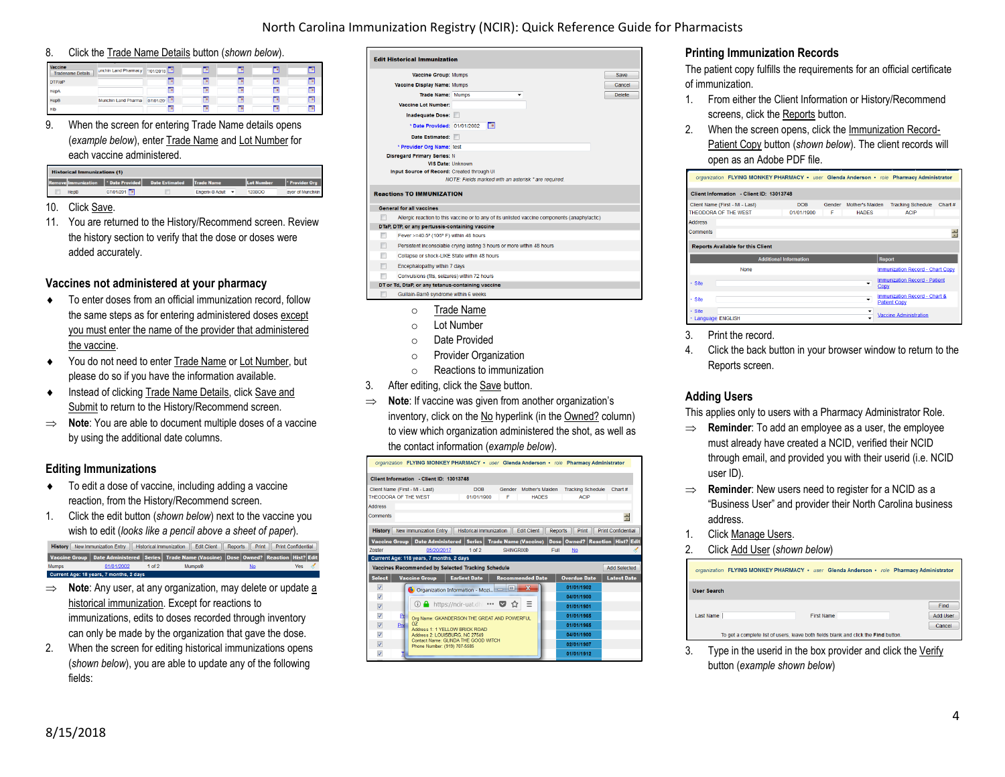## North Carolina Immunization Registry (NCIR): Quick Reference Guide for Pharmacists

#### 8. Click the Trade Name Details button (*shown below*).

| Vaccine<br><b>Tradename Details</b> | unchin Land Pharmacy | 701/2018  | ⊡         | Fo        | $\Box$    | <b>To</b> |
|-------------------------------------|----------------------|-----------|-----------|-----------|-----------|-----------|
| DTP/aP                              |                      | E         | E         | г         | E         | Œ         |
| HepA                                |                      | <b>To</b> | <b>TO</b> | <b>To</b> | <b>D</b>  | <b>TD</b> |
| <b>HepB</b>                         | Munchin Land Pharma- | 07/01/20  | т         | г         | F         | Te        |
| Hib                                 |                      | T B       | œ         | <b>To</b> | <b>To</b> | <b>II</b> |

9. When the screen for entering Trade Name details opens (*example below*), enter Trade Name and Lot Number for each vaccine administered.

| <b>Historical Immunizations (1)</b> |               |                                                                   |                   |               |                  |
|-------------------------------------|---------------|-------------------------------------------------------------------|-------------------|---------------|------------------|
|                                     |               | Remove Immunization   Date Provided   Date Estimated   Trade Name |                   | Lot Number    | Provider Org     |
| HepB                                | 07/01/201   0 |                                                                   | Engerix-B Adult - | <b>123BOO</b> | avor of Munchkin |

#### 10. Click Save.

11. You are returned to the History/Recommend screen. Review the history section to verify that the dose or doses were added accurately.

#### **Vaccines not administered at your pharmacy**

- To enter doses from an official immunization record, follow the same steps as for entering administered doses except you must enter the name of the provider that administered the vaccine.
- ◆ You do not need to enter Trade Name or Lot Number, but please do so if you have the information available.
- **Instead of clicking Trade Name Details, click Save and** Submit to return to the History/Recommend screen.
- ⇒ **Note**: You are able to document multiple doses of a vaccine by using the additional date columns.

#### **Editing Immunizations**

- To edit a dose of vaccine, including adding a vaccine reaction, from the History/Recommend screen.
- 1. Click the edit button (*shown below*) next to the vaccine you wish to edit (*looks like a pencil above a sheet of paper*).

History | New Immunization Entry | | Historical Immunization | | Edit Client | | Reports | | Print | | Print Confidential Vaccine Group Date Administered Series Trade Name (Vaccine) Dose Owned? Reaction Hist? Edit Mumps 01/01/2002 1 of 2 Mumps®<br>Current Age: 18 years, 7 months, 2 days

- $\implies$  **Note**: Any user, at any organization, may delete or update a historical immunization. Except for reactions to immunizations, edits to doses recorded through inventory can only be made by the organization that gave the dose.
- 2. When the screen for editing historical immunizations opens (*shown below*), you are able to update any of the following fields:

|   | Vaccine Group: Mumps                              |                                                                                               | Save          |
|---|---------------------------------------------------|-----------------------------------------------------------------------------------------------|---------------|
|   | Vaccine Display Name: Mumps                       |                                                                                               | Cancel        |
|   | <b>Trade Name: Mumps</b>                          |                                                                                               | <b>Delete</b> |
|   | Vaccine Lot Number:                               |                                                                                               |               |
|   | Inadequate Dose:                                  |                                                                                               |               |
|   | * Date Provided: 01/01/2002                       | Гe                                                                                            |               |
|   | Date Estimated:                                   |                                                                                               |               |
|   | * Provider Org Name: test                         |                                                                                               |               |
|   | <b>Disregard Primary Series: N</b>                |                                                                                               |               |
|   | <b>VIS Date: Unknown</b>                          |                                                                                               |               |
|   | Input Source of Record: Created through UI        |                                                                                               |               |
|   |                                                   | NOTE: Fields marked with an asterisk * are required.                                          |               |
|   |                                                   |                                                                                               |               |
|   | <b>Reactions TO IMMUNIZATION</b>                  |                                                                                               |               |
|   | <b>General for all vaccines</b>                   |                                                                                               |               |
|   |                                                   | Allergic reaction to this vaccine or to any of its unlisted vaccine components (anaphylactic) |               |
|   | DTaP, DTP, or any pertussis-containing vaccine    |                                                                                               |               |
| m | Fever >=40.5° (105° F) within 48 hours            |                                                                                               |               |
| m |                                                   | Persistent inconsolable crying lasting 3 hours or more within 48 hours                        |               |
| m | Collapse or shock-LIKE State within 48 hours      |                                                                                               |               |
| F | Encephalopathy within 7 days                      |                                                                                               |               |
|   | Convulsions (fits, seizures) within 72 hours      |                                                                                               |               |
|   | DT or Td, DtaP, or any tetanus-containing vaccine |                                                                                               |               |

- o Trade Name
- Lot Number
- o Date Provided
- o Provider Organization
- o Reactions to immunization
- 3. After editing, click the Save button.
- **Note**: If vaccine was given from another organization's inventory, click on the No hyperlink (in the Owned? column) to view which organization administered the shot, as well as the contact information (*example below*).

| organization FLYING MONKEY PHARMACY · user Glenda Anderson · role Pharmacy Administrator                                           |                                                                                                                                                    |
|------------------------------------------------------------------------------------------------------------------------------------|----------------------------------------------------------------------------------------------------------------------------------------------------|
| Client Information - Client ID: 13013748                                                                                           |                                                                                                                                                    |
| <b>DOB</b><br>Client Name (First - MI - Last)<br>THEODORA OF THE WEST<br>01/01/1900                                                | Gender<br>Mother's Maiden<br><b>Tracking Schedule</b><br>Chart#<br>F<br><b>ACIP</b><br><b>HADES</b>                                                |
| <b>Address</b><br>Comments                                                                                                         | 족                                                                                                                                                  |
| New Immunization Entry<br><b>Historical Immunization</b><br><b>History</b><br>Date Administered   Series  <br><b>Vaccine Group</b> | <b>Edit Client</b><br><b>Print Confidential</b><br><b>Reports</b><br>Print<br>Dose   Owned?   Reaction   Hist? Edit<br><b>Trade Name (Vaccine)</b> |
| $1$ of $2$<br>05/20/2017<br>Zoster                                                                                                 | <b>SHINGRIX®</b><br>Full<br><b>No</b>                                                                                                              |
| Current Age: 118 years, 7 months, 2 days<br>Vaccines Recommended by Selected Tracking Schedule                                     | <b>Add Selected</b>                                                                                                                                |
| <b>Earliest Date</b><br><b>Select</b><br><b>Vaccine Group</b>                                                                      | <b>Recommended Date</b><br><b>Latest Date</b><br><b>Overdue Date</b>                                                                               |
| $\overline{\mathsf{v}}$<br>Organization Information - Mozi                                                                         | 01/01/1902<br>$\mathbf x$                                                                                                                          |
| V                                                                                                                                  | 04/01/1900                                                                                                                                         |
| ① A https://ncir-uat.dhl ••• ▼ ☆<br>$\overline{\mathsf{v}}$                                                                        | Ξ<br>01/01/1901                                                                                                                                    |
| $\overline{\mathsf{v}}$<br>P<br>Org Name: GKANDERSON THE GREAT AND POWERFUL                                                        | 01/01/1965                                                                                                                                         |
| $\Omega$<br>$\overline{\mathsf{v}}$<br>Pne<br>Address 1: 1 YELLOW BRICK ROAD                                                       | 01/01/1965                                                                                                                                         |
|                                                                                                                                    |                                                                                                                                                    |
| $\overline{\mathcal{L}}$<br>Address 2: LOUISBURG. NC 27549                                                                         | 04/01/1900                                                                                                                                         |
| Contact Name: GLINDA THE GOOD WITCH<br>$\overline{\mathbf{v}}$<br>Phone Number: (919) 707-5585                                     | 02/01/1907                                                                                                                                         |

#### **Printing Immunization Records**

The patient copy fulfills the requirements for an official certificate of immunization.

- 1. From either the Client Information or History/Recommend screens, click the Reports button.
- 2. When the screen opens, click the Immunization Record-Patient Copy button (*shown below*). The client records will open as an Adobe PDF file.

| Client Information - Client ID: 13013748 |        |                 |                          |                                                                                                                                                                                                                                                                                 |
|------------------------------------------|--------|-----------------|--------------------------|---------------------------------------------------------------------------------------------------------------------------------------------------------------------------------------------------------------------------------------------------------------------------------|
| <b>DOB</b>                               | Gender | Mother's Malden | <b>Tracking Schedule</b> | Chart $#$                                                                                                                                                                                                                                                                       |
| 01/01/1900                               | F      | <b>HADES</b>    | <b>ACIP</b>              |                                                                                                                                                                                                                                                                                 |
|                                          |        |                 |                          |                                                                                                                                                                                                                                                                                 |
|                                          |        |                 |                          | ÷                                                                                                                                                                                                                                                                               |
|                                          |        |                 |                          |                                                                                                                                                                                                                                                                                 |
| <b>Additional Information</b>            |        |                 |                          |                                                                                                                                                                                                                                                                                 |
|                                          |        |                 |                          |                                                                                                                                                                                                                                                                                 |
|                                          |        | ۰               |                          |                                                                                                                                                                                                                                                                                 |
|                                          |        | ٠               |                          |                                                                                                                                                                                                                                                                                 |
|                                          |        |                 |                          |                                                                                                                                                                                                                                                                                 |
|                                          |        |                 |                          | organization FLYING MONKEY PHARMACY · user Glenda Anderson · role Pharmacy Administrator<br>Report<br>Immunization Record - Chart Copy<br><b>Immunization Record - Patient</b><br>CODV<br>Immunization Record - Chart &<br><b>Patient Copy</b><br><b>Vaccine Administration</b> |

- 3. Print the record.
- 4. Click the back button in your browser window to return to the Reports screen.

#### **Adding Users**

This applies only to users with a Pharmacy Administrator Role.

- $\Rightarrow$  **Reminder**: To add an employee as a user, the employee must already have created a NCID, verified their NCID through email, and provided you with their userid (i.e. NCID user ID).
- $\Rightarrow$  **Reminder**: New users need to register for a NCID as a "Business User" and provider their North Carolina business address.
- 1. Click Manage Users.
- 2. Click Add User (*shown below*)

|                    | organization FLYING MONKEY PHARMACY . user Glenda Anderson . role Pharmacy Administrator |                   |                                   |
|--------------------|------------------------------------------------------------------------------------------|-------------------|-----------------------------------|
| <b>User Search</b> |                                                                                          |                   |                                   |
| Last Name          |                                                                                          | <b>First Name</b> | Find<br><b>Add User</b><br>Cancel |
|                    | To get a complete list of users, leave both fields blank and click the Find button.      |                   |                                   |

3. Type in the userid in the box provider and click the Verify button (*example shown below*)